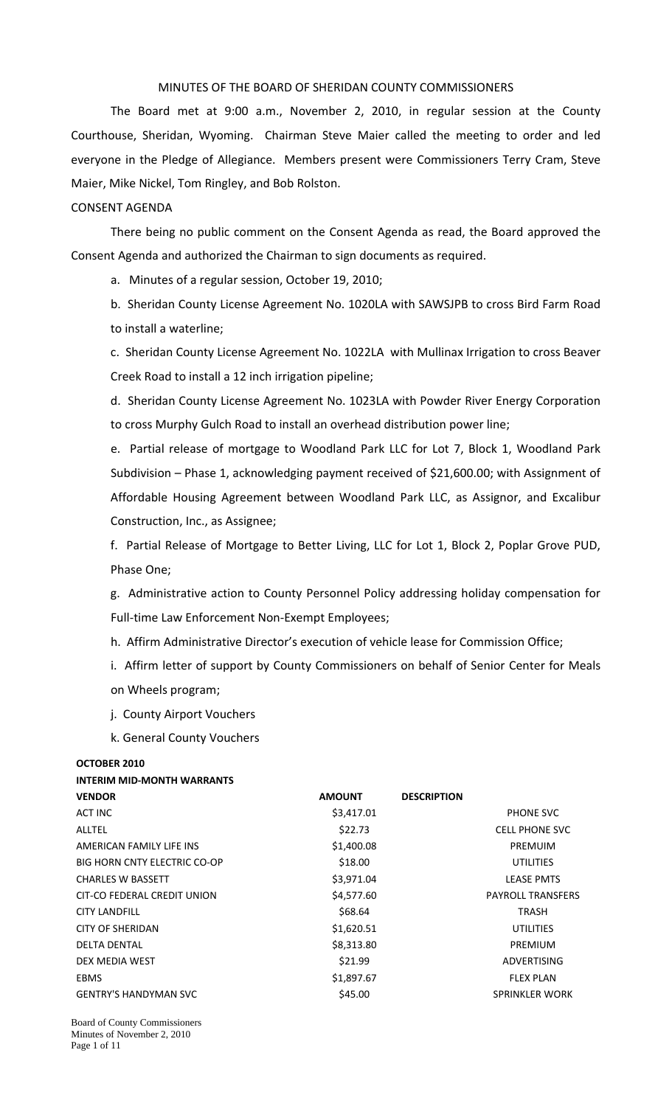### MINUTES OF THE BOARD OF SHERIDAN COUNTY COMMISSIONERS

The Board met at 9:00 a.m., November 2, 2010, in regular session at the County Courthouse, Sheridan, Wyoming. Chairman Steve Maier called the meeting to order and led everyone in the Pledge of Allegiance. Members present were Commissioners Terry Cram, Steve Maier, Mike Nickel, Tom Ringley, and Bob Rolston.

### CONSENT AGENDA

There being no public comment on the Consent Agenda as read, the Board approved the Consent Agenda and authorized the Chairman to sign documents as required.

a. Minutes of a regular session, October 19, 2010;

b. Sheridan County License Agreement No. 1020LA with SAWSJPB to cross Bird Farm Road to install a waterline;

c. Sheridan County License Agreement No. 1022LA with Mullinax Irrigation to cross Beaver Creek Road to install a 12 inch irrigation pipeline;

d. Sheridan County License Agreement No. 1023LA with Powder River Energy Corporation to cross Murphy Gulch Road to install an overhead distribution power line;

e. Partial release of mortgage to Woodland Park LLC for Lot 7, Block 1, Woodland Park Subdivision – Phase 1, acknowledging payment received of \$21,600.00; with Assignment of Affordable Housing Agreement between Woodland Park LLC, as Assignor, and Excalibur Construction, Inc., as Assignee;

f. Partial Release of Mortgage to Better Living, LLC for Lot 1, Block 2, Poplar Grove PUD, Phase One;

g. Administrative action to County Personnel Policy addressing holiday compensation for Full-time Law Enforcement Non-Exempt Employees;

h. Affirm Administrative Director's execution of vehicle lease for Commission Office;

i. Affirm letter of support by County Commissioners on behalf of Senior Center for Meals on Wheels program;

- j. County Airport Vouchers
- k. General County Vouchers

**INTERIM MID‐MONTH WARRANTS**

#### **OCTOBER 2010**

| INTERIM MID-MONTH WARRANTS   |               |                    |                          |
|------------------------------|---------------|--------------------|--------------------------|
| <b>VENDOR</b>                | <b>AMOUNT</b> | <b>DESCRIPTION</b> |                          |
| ACT INC                      | \$3,417.01    |                    | PHONE SVC                |
| ALLTEL                       | \$22.73       |                    | <b>CELL PHONE SVC</b>    |
| AMERICAN FAMILY LIFE INS     | \$1,400.08    |                    | <b>PREMUIM</b>           |
| BIG HORN CNTY ELECTRIC CO-OP | \$18.00       |                    | <b>UTILITIES</b>         |
| <b>CHARLES W BASSETT</b>     | \$3,971.04    |                    | <b>LEASE PMTS</b>        |
| CIT-CO FEDERAL CREDIT UNION  | \$4,577.60    |                    | <b>PAYROLL TRANSFERS</b> |
| <b>CITY LANDFILL</b>         | \$68.64       |                    | TRASH                    |
| <b>CITY OF SHERIDAN</b>      | \$1,620.51    |                    | <b>UTILITIES</b>         |
| <b>DELTA DENTAL</b>          | \$8,313.80    |                    | <b>PREMIUM</b>           |
| DEX MEDIA WEST               | \$21.99       |                    | <b>ADVERTISING</b>       |
| EBMS                         | \$1,897.67    |                    | <b>FLEX PLAN</b>         |
| <b>GENTRY'S HANDYMAN SVC</b> | \$45.00       |                    | <b>SPRINKLER WORK</b>    |
|                              |               |                    |                          |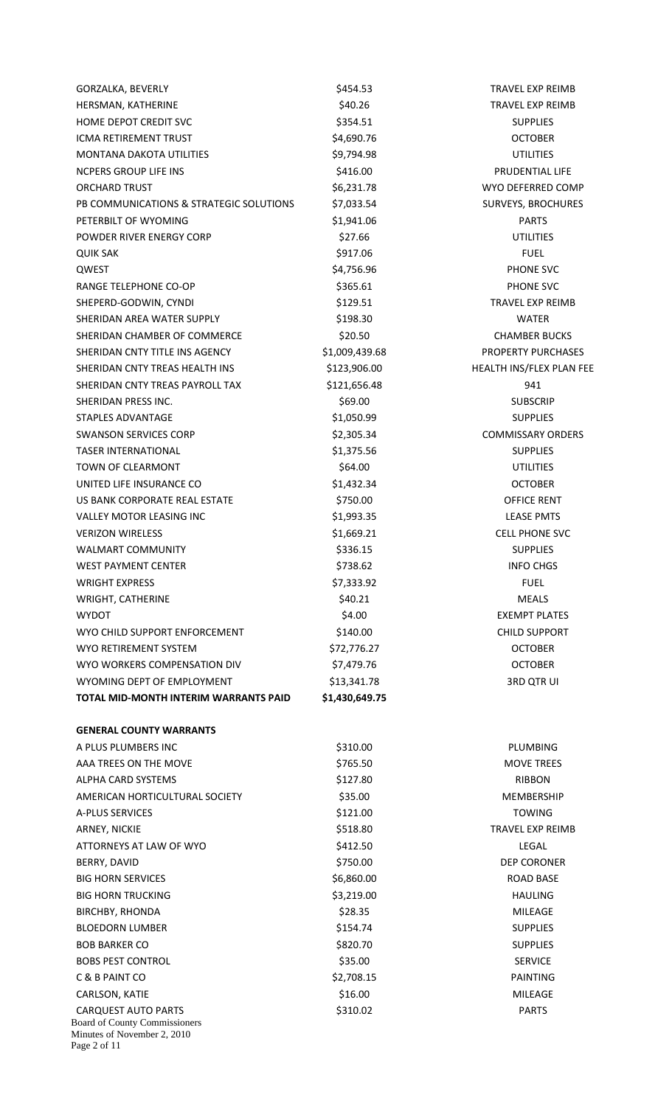| GORZALKA, BEVERLY                                                  | \$454.53       | TRAVEL EXP REIMB          |
|--------------------------------------------------------------------|----------------|---------------------------|
| HERSMAN, KATHERINE                                                 | \$40.26        | TRAVEL EXP REIMB          |
| <b>HOME DEPOT CREDIT SVC</b>                                       | \$354.51       | <b>SUPPLIES</b>           |
| <b>ICMA RETIREMENT TRUST</b>                                       | \$4,690.76     | <b>OCTOBER</b>            |
| <b>MONTANA DAKOTA UTILITIES</b>                                    | \$9,794.98     | <b>UTILITIES</b>          |
| <b>NCPERS GROUP LIFE INS</b>                                       | \$416.00       | PRUDENTIAL LIFE           |
| <b>ORCHARD TRUST</b>                                               | \$6,231.78     | WYO DEFERRED COMP         |
| PB COMMUNICATIONS & STRATEGIC SOLUTIONS                            | \$7,033.54     | SURVEYS, BROCHURES        |
| PETERBILT OF WYOMING                                               | \$1,941.06     | <b>PARTS</b>              |
| POWDER RIVER ENERGY CORP                                           | \$27.66        | <b>UTILITIES</b>          |
| <b>QUIK SAK</b>                                                    | \$917.06       | <b>FUEL</b>               |
| QWEST                                                              | \$4,756.96     | PHONE SVC                 |
| RANGE TELEPHONE CO-OP                                              | \$365.61       | PHONE SVC                 |
| SHEPERD-GODWIN, CYNDI                                              | \$129.51       | TRAVEL EXP REIMB          |
| SHERIDAN AREA WATER SUPPLY                                         | \$198.30       | WATER                     |
| SHERIDAN CHAMBER OF COMMERCE                                       | \$20.50        | <b>CHAMBER BUCKS</b>      |
| SHERIDAN CNTY TITLE INS AGENCY                                     | \$1,009,439.68 | <b>PROPERTY PURCHASES</b> |
| SHERIDAN CNTY TREAS HEALTH INS                                     | \$123,906.00   | HEALTH INS/FLEX PLAN FEE  |
| SHERIDAN CNTY TREAS PAYROLL TAX                                    | \$121,656.48   | 941                       |
| SHERIDAN PRESS INC.                                                | \$69.00        | <b>SUBSCRIP</b>           |
| STAPLES ADVANTAGE                                                  | \$1,050.99     | <b>SUPPLIES</b>           |
| <b>SWANSON SERVICES CORP</b>                                       | \$2,305.34     | <b>COMMISSARY ORDERS</b>  |
| <b>TASER INTERNATIONAL</b>                                         |                | <b>SUPPLIES</b>           |
| <b>TOWN OF CLEARMONT</b>                                           | \$1,375.56     |                           |
|                                                                    | \$64.00        | <b>UTILITIES</b>          |
| UNITED LIFE INSURANCE CO<br>US BANK CORPORATE REAL ESTATE          | \$1,432.34     | <b>OCTOBER</b>            |
|                                                                    | \$750.00       | <b>OFFICE RENT</b>        |
| <b>VALLEY MOTOR LEASING INC</b>                                    | \$1,993.35     | <b>LEASE PMTS</b>         |
| <b>VERIZON WIRELESS</b>                                            | \$1,669.21     | <b>CELL PHONE SVC</b>     |
| <b>WALMART COMMUNITY</b>                                           | \$336.15       | <b>SUPPLIES</b>           |
| <b>WEST PAYMENT CENTER</b>                                         | \$738.62       | <b>INFO CHGS</b>          |
| <b>WRIGHT EXPRESS</b>                                              | \$7,333.92     | <b>FUEL</b>               |
| <b>WRIGHT, CATHERINE</b>                                           | \$40.21        | <b>MEALS</b>              |
| <b>WYDOT</b>                                                       | \$4.00         | <b>EXEMPT PLATES</b>      |
| WYO CHILD SUPPORT ENFORCEMENT                                      | \$140.00       | <b>CHILD SUPPORT</b>      |
| <b>WYO RETIREMENT SYSTEM</b>                                       | \$72,776.27    | <b>OCTOBER</b>            |
| WYO WORKERS COMPENSATION DIV                                       | \$7,479.76     | <b>OCTOBER</b>            |
| WYOMING DEPT OF EMPLOYMENT                                         | \$13,341.78    | <b>3RD QTR UI</b>         |
| TOTAL MID-MONTH INTERIM WARRANTS PAID                              | \$1,430,649.75 |                           |
| <b>GENERAL COUNTY WARRANTS</b>                                     |                |                           |
| A PLUS PLUMBERS INC                                                | \$310.00       | PLUMBING                  |
| AAA TREES ON THE MOVE                                              | \$765.50       | <b>MOVE TREES</b>         |
| ALPHA CARD SYSTEMS                                                 | \$127.80       | <b>RIBBON</b>             |
| AMERICAN HORTICULTURAL SOCIETY                                     | \$35.00        | <b>MEMBERSHIP</b>         |
| <b>A-PLUS SERVICES</b>                                             | \$121.00       | <b>TOWING</b>             |
| ARNEY, NICKIE                                                      | \$518.80       | <b>TRAVEL EXP REIMB</b>   |
| ATTORNEYS AT LAW OF WYO                                            | \$412.50       | LEGAL                     |
| BERRY, DAVID                                                       | \$750.00       | <b>DEP CORONER</b>        |
| <b>BIG HORN SERVICES</b>                                           | \$6,860.00     | <b>ROAD BASE</b>          |
| <b>BIG HORN TRUCKING</b>                                           | \$3,219.00     | <b>HAULING</b>            |
| <b>BIRCHBY, RHONDA</b>                                             | \$28.35        | <b>MILEAGE</b>            |
| <b>BLOEDORN LUMBER</b>                                             | \$154.74       | <b>SUPPLIES</b>           |
| <b>BOB BARKER CO</b>                                               | \$820.70       | <b>SUPPLIES</b>           |
| <b>BOBS PEST CONTROL</b>                                           | \$35.00        | <b>SERVICE</b>            |
|                                                                    |                |                           |
| C & B PAINT CO                                                     | \$2,708.15     | <b>PAINTING</b>           |
| CARLSON, KATIE                                                     | \$16.00        | <b>MILEAGE</b>            |
| <b>CARQUEST AUTO PARTS</b><br><b>Board of County Commissioners</b> | \$310.02       | <b>PARTS</b>              |
| Minutes of November 2, 2010<br>Page 2 of 11                        |                |                           |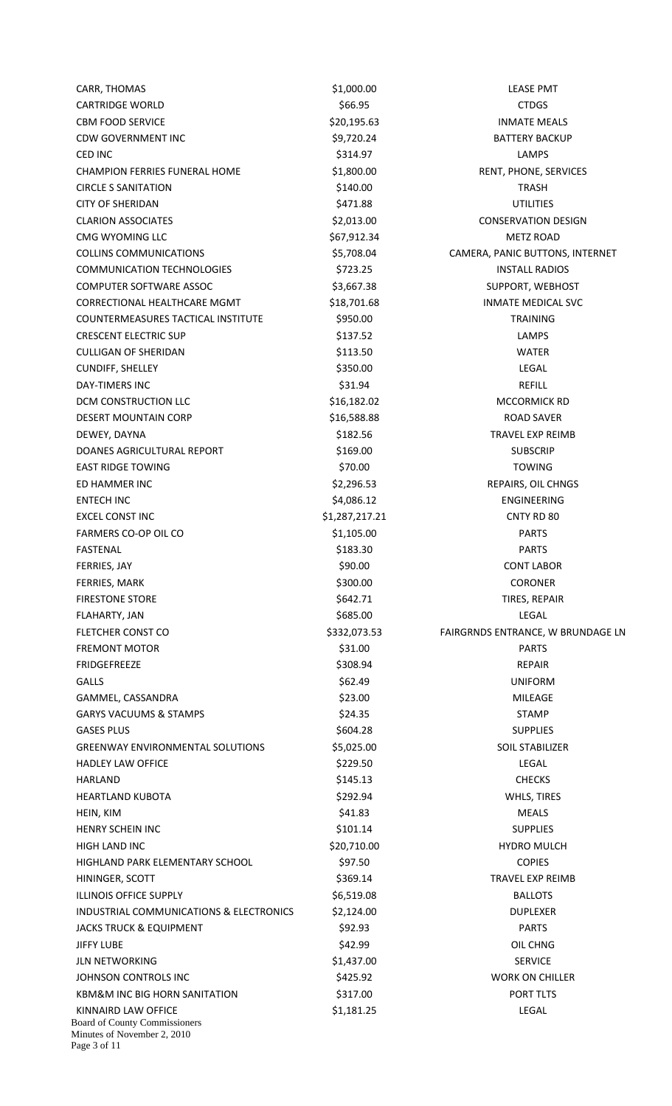| CARR, THOMAS                                                                        | \$1,000.00     | <b>LEASE PMT</b>                  |
|-------------------------------------------------------------------------------------|----------------|-----------------------------------|
| <b>CARTRIDGE WORLD</b>                                                              | \$66.95        | <b>CTDGS</b>                      |
| <b>CBM FOOD SERVICE</b>                                                             | \$20,195.63    | <b>INMATE MEALS</b>               |
| <b>CDW GOVERNMENT INC</b>                                                           | \$9,720.24     | <b>BATTERY BACKUP</b>             |
| <b>CED INC</b>                                                                      | \$314.97       | <b>LAMPS</b>                      |
| <b>CHAMPION FERRIES FUNERAL HOME</b>                                                | \$1,800.00     | RENT, PHONE, SERVICES             |
| <b>CIRCLE S SANITATION</b>                                                          | \$140.00       | TRASH                             |
| <b>CITY OF SHERIDAN</b>                                                             | \$471.88       | <b>UTILITIES</b>                  |
| <b>CLARION ASSOCIATES</b>                                                           | \$2,013.00     | <b>CONSERVATION DESIGN</b>        |
| CMG WYOMING LLC                                                                     | \$67,912.34    | <b>METZ ROAD</b>                  |
| <b>COLLINS COMMUNICATIONS</b>                                                       | \$5,708.04     | CAMERA, PANIC BUTTONS, INTERNET   |
| <b>COMMUNICATION TECHNOLOGIES</b>                                                   | \$723.25       | <b>INSTALL RADIOS</b>             |
|                                                                                     |                |                                   |
| <b>COMPUTER SOFTWARE ASSOC</b>                                                      | \$3,667.38     | SUPPORT, WEBHOST                  |
| <b>CORRECTIONAL HEALTHCARE MGMT</b>                                                 | \$18,701.68    | <b>INMATE MEDICAL SVC</b>         |
| COUNTERMEASURES TACTICAL INSTITUTE                                                  | \$950.00       | <b>TRAINING</b>                   |
| <b>CRESCENT ELECTRIC SUP</b>                                                        | \$137.52       | <b>LAMPS</b>                      |
| <b>CULLIGAN OF SHERIDAN</b>                                                         | \$113.50       | <b>WATER</b>                      |
| <b>CUNDIFF, SHELLEY</b>                                                             | \$350.00       | <b>LEGAL</b>                      |
| <b>DAY-TIMERS INC</b>                                                               | \$31.94        | <b>REFILL</b>                     |
| DCM CONSTRUCTION LLC                                                                | \$16,182.02    | MCCORMICK RD                      |
| <b>DESERT MOUNTAIN CORP</b>                                                         | \$16,588.88    | <b>ROAD SAVER</b>                 |
| DEWEY, DAYNA                                                                        | \$182.56       | TRAVEL EXP REIMB                  |
| DOANES AGRICULTURAL REPORT                                                          | \$169.00       | <b>SUBSCRIP</b>                   |
| <b>EAST RIDGE TOWING</b>                                                            | \$70.00        | <b>TOWING</b>                     |
| ED HAMMER INC                                                                       | \$2,296.53     | REPAIRS, OIL CHNGS                |
| <b>ENTECH INC</b>                                                                   | \$4,086.12     | ENGINEERING                       |
| <b>EXCEL CONST INC</b>                                                              | \$1,287,217.21 | CNTY RD 80                        |
| FARMERS CO-OP OIL CO                                                                | \$1,105.00     | <b>PARTS</b>                      |
| <b>FASTENAL</b>                                                                     | \$183.30       | <b>PARTS</b>                      |
| FERRIES, JAY                                                                        | \$90.00        | <b>CONT LABOR</b>                 |
| FERRIES, MARK                                                                       | \$300.00       | <b>CORONER</b>                    |
| <b>FIRESTONE STORE</b>                                                              | \$642.71       | TIRES, REPAIR                     |
| FLAHARTY, JAN                                                                       | \$685.00       | <b>LEGAL</b>                      |
| <b>FLETCHER CONST CO</b>                                                            | \$332,073.53   | FAIRGRNDS ENTRANCE, W BRUNDAGE LN |
| <b>FREMONT MOTOR</b>                                                                | \$31.00        | <b>PARTS</b>                      |
| <b>FRIDGEFREEZE</b>                                                                 | \$308.94       | <b>REPAIR</b>                     |
| <b>GALLS</b>                                                                        | \$62.49        | <b>UNIFORM</b>                    |
|                                                                                     |                |                                   |
| GAMMEL, CASSANDRA                                                                   | \$23.00        | <b>MILEAGE</b>                    |
| <b>GARYS VACUUMS &amp; STAMPS</b>                                                   | \$24.35        | <b>STAMP</b>                      |
| <b>GASES PLUS</b>                                                                   | \$604.28       | <b>SUPPLIES</b>                   |
| <b>GREENWAY ENVIRONMENTAL SOLUTIONS</b>                                             | \$5,025.00     | <b>SOIL STABILIZER</b>            |
| <b>HADLEY LAW OFFICE</b>                                                            | \$229.50       | LEGAL                             |
| <b>HARLAND</b>                                                                      | \$145.13       | <b>CHECKS</b>                     |
| <b>HEARTLAND KUBOTA</b>                                                             | \$292.94       | WHLS, TIRES                       |
| HEIN, KIM                                                                           | \$41.83        | <b>MEALS</b>                      |
| HENRY SCHEIN INC                                                                    | \$101.14       | <b>SUPPLIES</b>                   |
| HIGH LAND INC                                                                       | \$20,710.00    | <b>HYDRO MULCH</b>                |
| HIGHLAND PARK ELEMENTARY SCHOOL                                                     | \$97.50        | <b>COPIES</b>                     |
| HININGER, SCOTT                                                                     | \$369.14       | TRAVEL EXP REIMB                  |
| <b>ILLINOIS OFFICE SUPPLY</b>                                                       | \$6,519.08     | <b>BALLOTS</b>                    |
| INDUSTRIAL COMMUNICATIONS & ELECTRONICS                                             | \$2,124.00     | <b>DUPLEXER</b>                   |
| <b>JACKS TRUCK &amp; EQUIPMENT</b>                                                  | \$92.93        | <b>PARTS</b>                      |
| <b>JIFFY LUBE</b>                                                                   | \$42.99        | OIL CHNG                          |
| <b>JLN NETWORKING</b>                                                               | \$1,437.00     | <b>SERVICE</b>                    |
| JOHNSON CONTROLS INC                                                                | \$425.92       | <b>WORK ON CHILLER</b>            |
| <b>KBM&amp;M INC BIG HORN SANITATION</b>                                            | \$317.00       | PORT TLTS                         |
| KINNAIRD LAW OFFICE                                                                 | \$1,181.25     | <b>LEGAL</b>                      |
| <b>Board of County Commissioners</b><br>Minutes of November 2, 2010<br>Page 3 of 11 |                |                                   |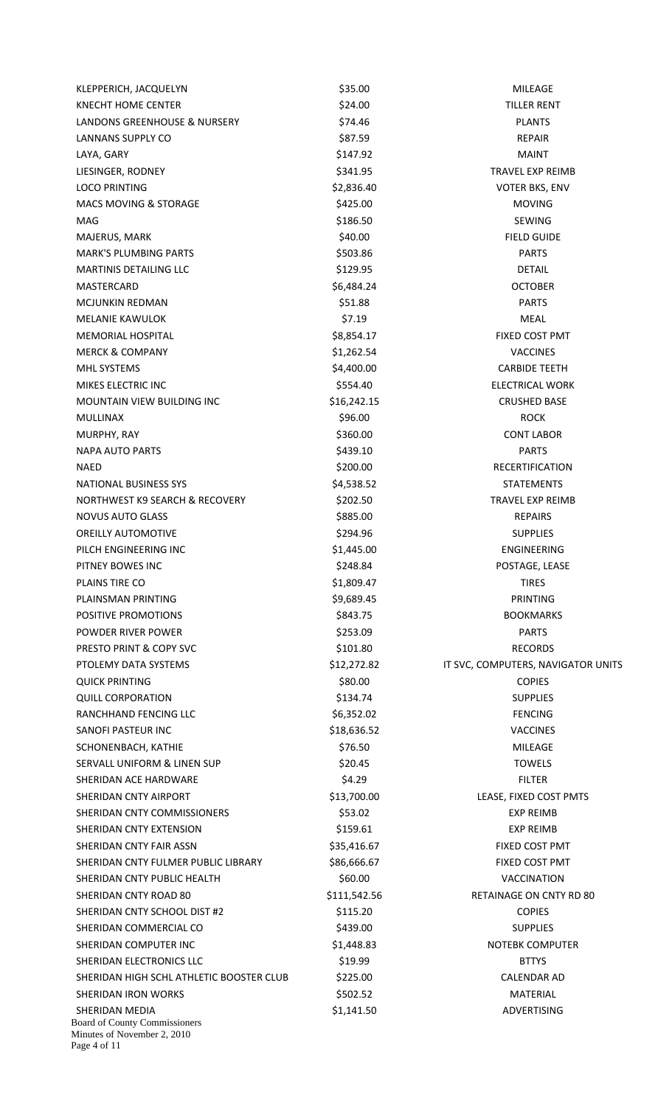| KLEPPERICH, JACQUELYN                                                                 | \$35.00      | <b>MILEAGE</b>                     |
|---------------------------------------------------------------------------------------|--------------|------------------------------------|
| <b>KNECHT HOME CENTER</b>                                                             | \$24.00      | <b>TILLER RENT</b>                 |
| LANDONS GREENHOUSE & NURSERY                                                          | \$74.46      | <b>PLANTS</b>                      |
| LANNANS SUPPLY CO                                                                     | \$87.59      | <b>REPAIR</b>                      |
| LAYA, GARY                                                                            | \$147.92     | <b>MAINT</b>                       |
| LIESINGER, RODNEY                                                                     | \$341.95     | TRAVEL EXP REIMB                   |
| <b>LOCO PRINTING</b>                                                                  | \$2,836.40   | <b>VOTER BKS, ENV</b>              |
| <b>MACS MOVING &amp; STORAGE</b>                                                      | \$425.00     | <b>MOVING</b>                      |
| MAG                                                                                   | \$186.50     | <b>SEWING</b>                      |
| MAJERUS, MARK                                                                         | \$40.00      | <b>FIELD GUIDE</b>                 |
| <b>MARK'S PLUMBING PARTS</b>                                                          | \$503.86     | <b>PARTS</b>                       |
| <b>MARTINIS DETAILING LLC</b>                                                         | \$129.95     | <b>DETAIL</b>                      |
| <b>MASTERCARD</b>                                                                     | \$6,484.24   | <b>OCTOBER</b>                     |
| <b>MCJUNKIN REDMAN</b>                                                                | \$51.88      | <b>PARTS</b>                       |
|                                                                                       |              |                                    |
| <b>MELANIE KAWULOK</b>                                                                | \$7.19       | <b>MEAL</b>                        |
| <b>MEMORIAL HOSPITAL</b>                                                              | \$8,854.17   | FIXED COST PMT                     |
| <b>MERCK &amp; COMPANY</b>                                                            | \$1,262.54   | <b>VACCINES</b>                    |
| MHL SYSTEMS                                                                           | \$4,400.00   | <b>CARBIDE TEETH</b>               |
| MIKES ELECTRIC INC                                                                    | \$554.40     | <b>ELECTRICAL WORK</b>             |
| <b>MOUNTAIN VIEW BUILDING INC</b>                                                     | \$16,242.15  | <b>CRUSHED BASE</b>                |
| <b>MULLINAX</b>                                                                       | \$96.00      | <b>ROCK</b>                        |
| MURPHY, RAY                                                                           | \$360.00     | <b>CONT LABOR</b>                  |
| <b>NAPA AUTO PARTS</b>                                                                | \$439.10     | <b>PARTS</b>                       |
| NAED                                                                                  | \$200.00     | <b>RECERTIFICATION</b>             |
| <b>NATIONAL BUSINESS SYS</b>                                                          | \$4,538.52   | <b>STATEMENTS</b>                  |
| NORTHWEST K9 SEARCH & RECOVERY                                                        | \$202.50     | TRAVEL EXP REIMB                   |
| <b>NOVUS AUTO GLASS</b>                                                               | \$885.00     | <b>REPAIRS</b>                     |
| <b>OREILLY AUTOMOTIVE</b>                                                             | \$294.96     | <b>SUPPLIES</b>                    |
| PILCH ENGINEERING INC                                                                 | \$1,445.00   | ENGINEERING                        |
| PITNEY BOWES INC                                                                      | \$248.84     | POSTAGE, LEASE                     |
| PLAINS TIRE CO                                                                        | \$1,809.47   | <b>TIRES</b>                       |
| PLAINSMAN PRINTING                                                                    | \$9,689.45   | PRINTING                           |
| POSITIVE PROMOTIONS                                                                   | \$843.75     | <b>BOOKMARKS</b>                   |
| POWDER RIVER POWER                                                                    | \$253.09     | <b>PARTS</b>                       |
| PRESTO PRINT & COPY SVC                                                               | \$101.80     | <b>RECORDS</b>                     |
| PTOLEMY DATA SYSTEMS                                                                  | \$12,272.82  | IT SVC, COMPUTERS, NAVIGATOR UNITS |
| <b>QUICK PRINTING</b>                                                                 | \$80.00      | <b>COPIES</b>                      |
| <b>QUILL CORPORATION</b>                                                              | \$134.74     | <b>SUPPLIES</b>                    |
| RANCHHAND FENCING LLC                                                                 | \$6,352.02   | <b>FENCING</b>                     |
| SANOFI PASTEUR INC                                                                    | \$18,636.52  | <b>VACCINES</b>                    |
| SCHONENBACH, KATHIE                                                                   | \$76.50      | <b>MILEAGE</b>                     |
| SERVALL UNIFORM & LINEN SUP                                                           | \$20.45      | <b>TOWELS</b>                      |
| SHERIDAN ACE HARDWARE                                                                 | \$4.29       |                                    |
|                                                                                       |              | <b>FILTER</b>                      |
| SHERIDAN CNTY AIRPORT                                                                 | \$13,700.00  | LEASE, FIXED COST PMTS             |
| SHERIDAN CNTY COMMISSIONERS                                                           | \$53.02      | <b>EXP REIMB</b>                   |
| SHERIDAN CNTY EXTENSION                                                               | \$159.61     | <b>EXP REIMB</b>                   |
| SHERIDAN CNTY FAIR ASSN                                                               | \$35,416.67  | FIXED COST PMT                     |
| SHERIDAN CNTY FULMER PUBLIC LIBRARY                                                   | \$86,666.67  | FIXED COST PMT                     |
| SHERIDAN CNTY PUBLIC HEALTH                                                           | \$60.00      | VACCINATION                        |
| SHERIDAN CNTY ROAD 80                                                                 | \$111,542.56 | RETAINAGE ON CNTY RD 80            |
| SHERIDAN CNTY SCHOOL DIST #2                                                          | \$115.20     | <b>COPIES</b>                      |
| SHERIDAN COMMERCIAL CO                                                                | \$439.00     | <b>SUPPLIES</b>                    |
| SHERIDAN COMPUTER INC                                                                 | \$1,448.83   | NOTEBK COMPUTER                    |
| SHERIDAN ELECTRONICS LLC                                                              | \$19.99      | <b>BTTYS</b>                       |
| SHERIDAN HIGH SCHL ATHLETIC BOOSTER CLUB                                              | \$225.00     | <b>CALENDAR AD</b>                 |
| SHERIDAN IRON WORKS                                                                   | \$502.52     | <b>MATERIAL</b>                    |
| SHERIDAN MEDIA<br><b>Board of County Commissioners</b><br>Minutes of November 2, 2010 | \$1,141.50   | ADVERTISING                        |
| Page 4 of 11                                                                          |              |                                    |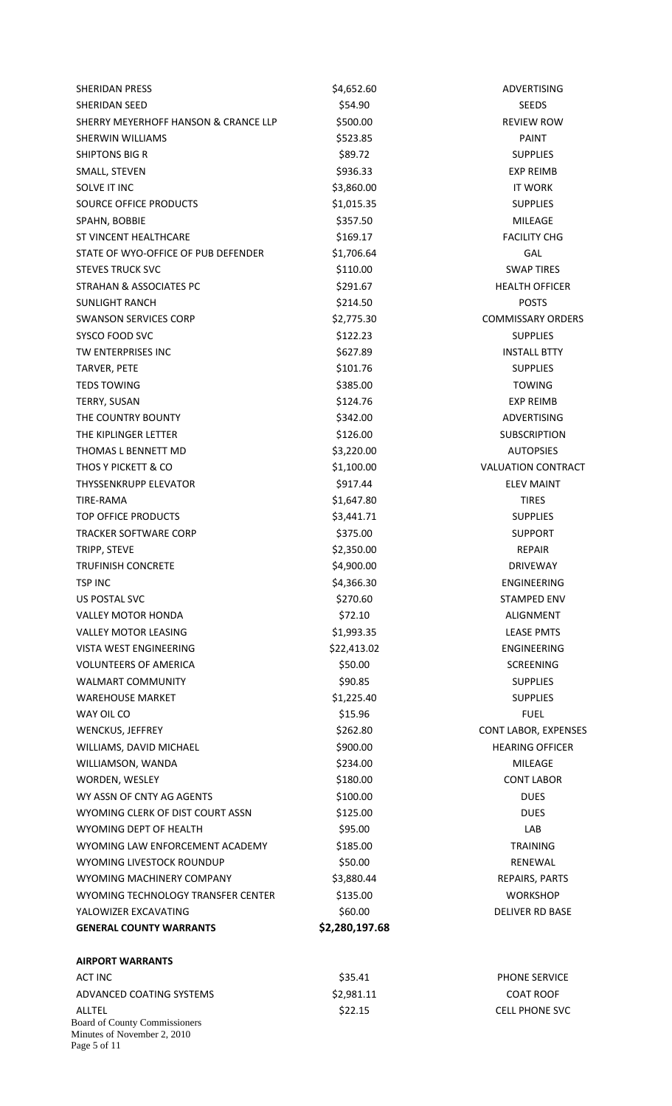| <b>SHERIDAN PRESS</b>                                                        | \$4,652.60     | ADVERTISING                 |
|------------------------------------------------------------------------------|----------------|-----------------------------|
| SHERIDAN SEED                                                                | \$54.90        | <b>SEEDS</b>                |
| SHERRY MEYERHOFF HANSON & CRANCE LLP                                         | \$500.00       | <b>REVIEW ROW</b>           |
| <b>SHERWIN WILLIAMS</b>                                                      | \$523.85       | <b>PAINT</b>                |
| <b>SHIPTONS BIG R</b>                                                        | \$89.72        | <b>SUPPLIES</b>             |
| SMALL, STEVEN                                                                | \$936.33       | <b>EXP REIMB</b>            |
| SOLVE IT INC                                                                 | \$3,860.00     | <b>IT WORK</b>              |
| SOURCE OFFICE PRODUCTS                                                       | \$1,015.35     | <b>SUPPLIES</b>             |
| SPAHN, BOBBIE                                                                | \$357.50       | <b>MILEAGE</b>              |
| ST VINCENT HEALTHCARE                                                        | \$169.17       | <b>FACILITY CHG</b>         |
| STATE OF WYO-OFFICE OF PUB DEFENDER                                          | \$1,706.64     | GAL                         |
| <b>STEVES TRUCK SVC</b>                                                      | \$110.00       | <b>SWAP TIRES</b>           |
| STRAHAN & ASSOCIATES PC                                                      | \$291.67       | <b>HEALTH OFFICER</b>       |
| <b>SUNLIGHT RANCH</b>                                                        | \$214.50       | <b>POSTS</b>                |
| <b>SWANSON SERVICES CORP</b>                                                 | \$2,775.30     | <b>COMMISSARY ORDERS</b>    |
| SYSCO FOOD SVC                                                               | \$122.23       | <b>SUPPLIES</b>             |
| TW ENTERPRISES INC                                                           | \$627.89       | <b>INSTALL BTTY</b>         |
| TARVER, PETE                                                                 | \$101.76       | <b>SUPPLIES</b>             |
| <b>TEDS TOWING</b>                                                           | \$385.00       | <b>TOWING</b>               |
| TERRY, SUSAN                                                                 | \$124.76       | <b>EXP REIMB</b>            |
| THE COUNTRY BOUNTY                                                           | \$342.00       | ADVERTISING                 |
| THE KIPLINGER LETTER                                                         | \$126.00       | <b>SUBSCRIPTION</b>         |
| THOMAS L BENNETT MD                                                          | \$3,220.00     | <b>AUTOPSIES</b>            |
| THOS Y PICKETT & CO                                                          | \$1,100.00     | <b>VALUATION CONTRACT</b>   |
| <b>THYSSENKRUPP ELEVATOR</b>                                                 | \$917.44       | <b>ELEV MAINT</b>           |
| TIRE-RAMA                                                                    | \$1,647.80     | <b>TIRES</b>                |
| TOP OFFICE PRODUCTS                                                          | \$3,441.71     | <b>SUPPLIES</b>             |
| <b>TRACKER SOFTWARE CORP</b>                                                 | \$375.00       | <b>SUPPORT</b>              |
| TRIPP, STEVE                                                                 | \$2,350.00     | <b>REPAIR</b>               |
| TRUFINISH CONCRETE                                                           | \$4,900.00     | <b>DRIVEWAY</b>             |
| <b>TSP INC</b>                                                               | \$4,366.30     | ENGINEERING                 |
| <b>US POSTAL SVC</b>                                                         | \$270.60       | <b>STAMPED ENV</b>          |
| <b>VALLEY MOTOR HONDA</b>                                                    | \$72.10        | ALIGNMENT                   |
| <b>VALLEY MOTOR LEASING</b>                                                  | \$1,993.35     | <b>LEASE PMTS</b>           |
| VISTA WEST ENGINEERING                                                       | \$22,413.02    | ENGINEERING                 |
| <b>VOLUNTEERS OF AMERICA</b>                                                 | \$50.00        | <b>SCREENING</b>            |
| <b>WALMART COMMUNITY</b>                                                     | \$90.85        | <b>SUPPLIES</b>             |
| <b>WAREHOUSE MARKET</b>                                                      | \$1,225.40     | <b>SUPPLIES</b>             |
| WAY OIL CO                                                                   | \$15.96        | <b>FUEL</b>                 |
| <b>WENCKUS, JEFFREY</b>                                                      | \$262.80       | <b>CONT LABOR, EXPENSES</b> |
| WILLIAMS, DAVID MICHAEL                                                      | \$900.00       | <b>HEARING OFFICER</b>      |
| WILLIAMSON, WANDA                                                            | \$234.00       | MILEAGE                     |
| WORDEN, WESLEY                                                               | \$180.00       | <b>CONT LABOR</b>           |
| WY ASSN OF CNTY AG AGENTS                                                    | \$100.00       | <b>DUES</b>                 |
| WYOMING CLERK OF DIST COURT ASSN                                             | \$125.00       | <b>DUES</b>                 |
| <b>WYOMING DEPT OF HEALTH</b>                                                | \$95.00        | LAB                         |
| WYOMING LAW ENFORCEMENT ACADEMY                                              | \$185.00       | <b>TRAINING</b>             |
| WYOMING LIVESTOCK ROUNDUP                                                    | \$50.00        | RENEWAL                     |
| WYOMING MACHINERY COMPANY                                                    | \$3,880.44     | REPAIRS, PARTS              |
| WYOMING TECHNOLOGY TRANSFER CENTER                                           | \$135.00       | <b>WORKSHOP</b>             |
| YALOWIZER EXCAVATING                                                         | \$60.00        | <b>DELIVER RD BASE</b>      |
| <b>GENERAL COUNTY WARRANTS</b>                                               | \$2,280,197.68 |                             |
| <b>AIRPORT WARRANTS</b>                                                      |                |                             |
| <b>ACT INC</b>                                                               | \$35.41        | PHONE SERVICE               |
| ADVANCED COATING SYSTEMS                                                     | \$2,981.11     | <b>COAT ROOF</b>            |
| ALLTEL                                                                       | \$22.15        | <b>CELL PHONE SVC</b>       |
| Board of County Commissioners<br>Minutes of November 2, 2010<br>Page 5 of 11 |                |                             |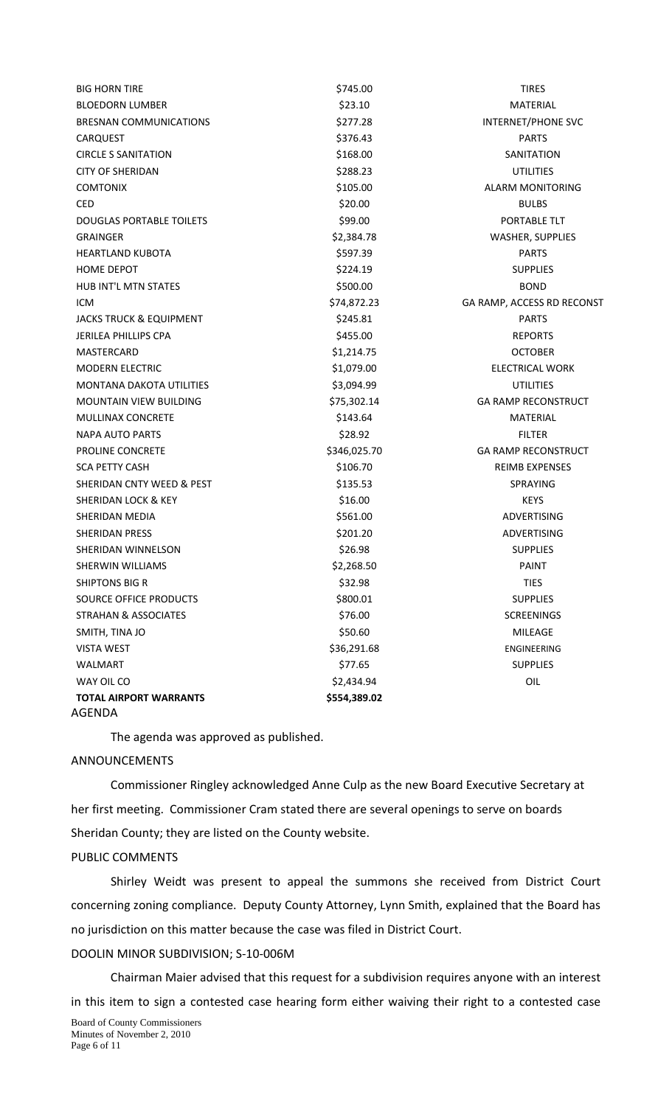| <b>BIG HORN TIRE</b>                    | \$745.00     | <b>TIRES</b>               |
|-----------------------------------------|--------------|----------------------------|
| <b>BLOEDORN LUMBER</b>                  | \$23.10      | <b>MATERIAL</b>            |
| <b>BRESNAN COMMUNICATIONS</b>           | \$277.28     | INTERNET/PHONE SVC         |
| <b>CARQUEST</b>                         | \$376.43     | <b>PARTS</b>               |
| <b>CIRCLE S SANITATION</b>              | \$168.00     | <b>SANITATION</b>          |
| <b>CITY OF SHERIDAN</b>                 | \$288.23     | <b>UTILITIES</b>           |
| <b>COMTONIX</b>                         | \$105.00     | <b>ALARM MONITORING</b>    |
| <b>CED</b>                              | \$20.00      | <b>BULBS</b>               |
| <b>DOUGLAS PORTABLE TOILETS</b>         | \$99.00      | PORTABLE TLT               |
| <b>GRAINGER</b>                         | \$2,384.78   | <b>WASHER, SUPPLIES</b>    |
| <b>HEARTLAND KUBOTA</b>                 | \$597.39     | <b>PARTS</b>               |
| <b>HOME DEPOT</b>                       | \$224.19     | <b>SUPPLIES</b>            |
| <b>HUB INT'L MTN STATES</b>             | \$500.00     | <b>BOND</b>                |
| <b>ICM</b>                              | \$74,872.23  | GA RAMP, ACCESS RD RECONST |
| <b>JACKS TRUCK &amp; EQUIPMENT</b>      | \$245.81     | <b>PARTS</b>               |
| JERILEA PHILLIPS CPA                    | \$455.00     | <b>REPORTS</b>             |
| MASTERCARD                              | \$1,214.75   | <b>OCTOBER</b>             |
| <b>MODERN ELECTRIC</b>                  | \$1,079.00   | <b>ELECTRICAL WORK</b>     |
| <b>MONTANA DAKOTA UTILITIES</b>         | \$3,094.99   | <b>UTILITIES</b>           |
| MOUNTAIN VIEW BUILDING                  | \$75,302.14  | <b>GA RAMP RECONSTRUCT</b> |
| MULLINAX CONCRETE                       | \$143.64     | <b>MATERIAL</b>            |
| NAPA AUTO PARTS                         | \$28.92      | <b>FILTER</b>              |
| <b>PROLINE CONCRETE</b>                 | \$346,025.70 | <b>GA RAMP RECONSTRUCT</b> |
| <b>SCA PETTY CASH</b>                   | \$106.70     | <b>REIMB EXPENSES</b>      |
| SHERIDAN CNTY WEED & PEST               | \$135.53     | <b>SPRAYING</b>            |
| SHERIDAN LOCK & KEY                     | \$16.00      | <b>KEYS</b>                |
| SHERIDAN MEDIA                          | \$561.00     | <b>ADVERTISING</b>         |
| SHERIDAN PRESS                          | \$201.20     | <b>ADVERTISING</b>         |
| SHERIDAN WINNELSON                      | \$26.98      | <b>SUPPLIES</b>            |
| SHERWIN WILLIAMS                        | \$2,268.50   | PAINT                      |
| <b>SHIPTONS BIG R</b>                   | \$32.98      | <b>TIES</b>                |
| SOURCE OFFICE PRODUCTS                  | \$800.01     | <b>SUPPLIES</b>            |
| <b>STRAHAN &amp; ASSOCIATES</b>         | \$76.00      | <b>SCREENINGS</b>          |
| SMITH, TINA JO                          | \$50.60      | <b>MILEAGE</b>             |
| <b>VISTA WEST</b>                       | \$36,291.68  | ENGINEERING                |
| <b>WALMART</b>                          | \$77.65      | <b>SUPPLIES</b>            |
| WAY OIL CO                              | \$2,434.94   | OIL                        |
| <b>TOTAL AIRPORT WARRANTS</b><br>AGENDA | \$554,389.02 |                            |

The agenda was approved as published.

# ANNOUNCEMENTS

Commissioner Ringley acknowledged Anne Culp as the new Board Executive Secretary at her first meeting. Commissioner Cram stated there are several openings to serve on boards Sheridan County; they are listed on the County website.

# PUBLIC COMMENTS

Shirley Weidt was present to appeal the summons she received from District Court concerning zoning compliance. Deputy County Attorney, Lynn Smith, explained that the Board has no jurisdiction on this matter because the case was filed in District Court.

# DOOLIN MINOR SUBDIVISION; S‐10‐006M

Chairman Maier advised that this request for a subdivision requires anyone with an interest in this item to sign a contested case hearing form either waiving their right to a contested case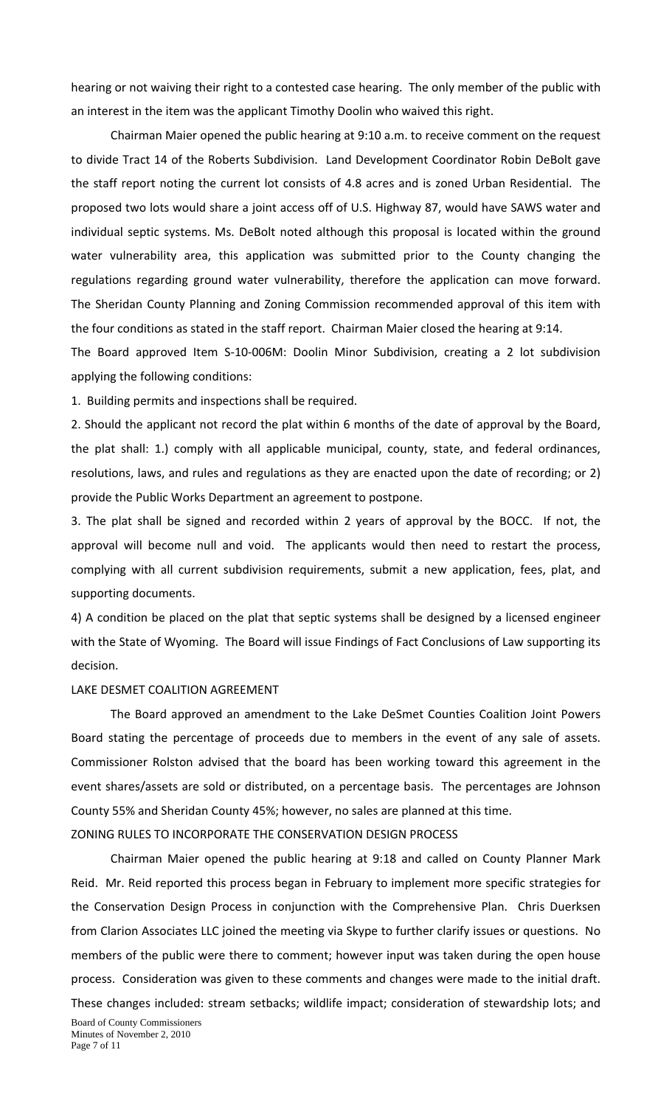hearing or not waiving their right to a contested case hearing. The only member of the public with an interest in the item was the applicant Timothy Doolin who waived this right.

Chairman Maier opened the public hearing at 9:10 a.m. to receive comment on the request to divide Tract 14 of the Roberts Subdivision. Land Development Coordinator Robin DeBolt gave the staff report noting the current lot consists of 4.8 acres and is zoned Urban Residential. The proposed two lots would share a joint access off of U.S. Highway 87, would have SAWS water and individual septic systems. Ms. DeBolt noted although this proposal is located within the ground water vulnerability area, this application was submitted prior to the County changing the regulations regarding ground water vulnerability, therefore the application can move forward. The Sheridan County Planning and Zoning Commission recommended approval of this item with the four conditions as stated in the staff report. Chairman Maier closed the hearing at 9:14.

The Board approved Item S‐10‐006M: Doolin Minor Subdivision, creating a 2 lot subdivision applying the following conditions:

1. Building permits and inspections shall be required.

2. Should the applicant not record the plat within 6 months of the date of approval by the Board, the plat shall: 1.) comply with all applicable municipal, county, state, and federal ordinances, resolutions, laws, and rules and regulations as they are enacted upon the date of recording; or 2) provide the Public Works Department an agreement to postpone.

3. The plat shall be signed and recorded within 2 years of approval by the BOCC. If not, the approval will become null and void. The applicants would then need to restart the process, complying with all current subdivision requirements, submit a new application, fees, plat, and supporting documents.

4) A condition be placed on the plat that septic systems shall be designed by a licensed engineer with the State of Wyoming. The Board will issue Findings of Fact Conclusions of Law supporting its decision.

#### LAKE DESMET COALITION AGREEMENT

The Board approved an amendment to the Lake DeSmet Counties Coalition Joint Powers Board stating the percentage of proceeds due to members in the event of any sale of assets. Commissioner Rolston advised that the board has been working toward this agreement in the event shares/assets are sold or distributed, on a percentage basis. The percentages are Johnson County 55% and Sheridan County 45%; however, no sales are planned at this time.

ZONING RULES TO INCORPORATE THE CONSERVATION DESIGN PROCESS

Chairman Maier opened the public hearing at 9:18 and called on County Planner Mark Reid. Mr. Reid reported this process began in February to implement more specific strategies for the Conservation Design Process in conjunction with the Comprehensive Plan. Chris Duerksen from Clarion Associates LLC joined the meeting via Skype to further clarify issues or questions. No members of the public were there to comment; however input was taken during the open house process. Consideration was given to these comments and changes were made to the initial draft. These changes included: stream setbacks; wildlife impact; consideration of stewardship lots; and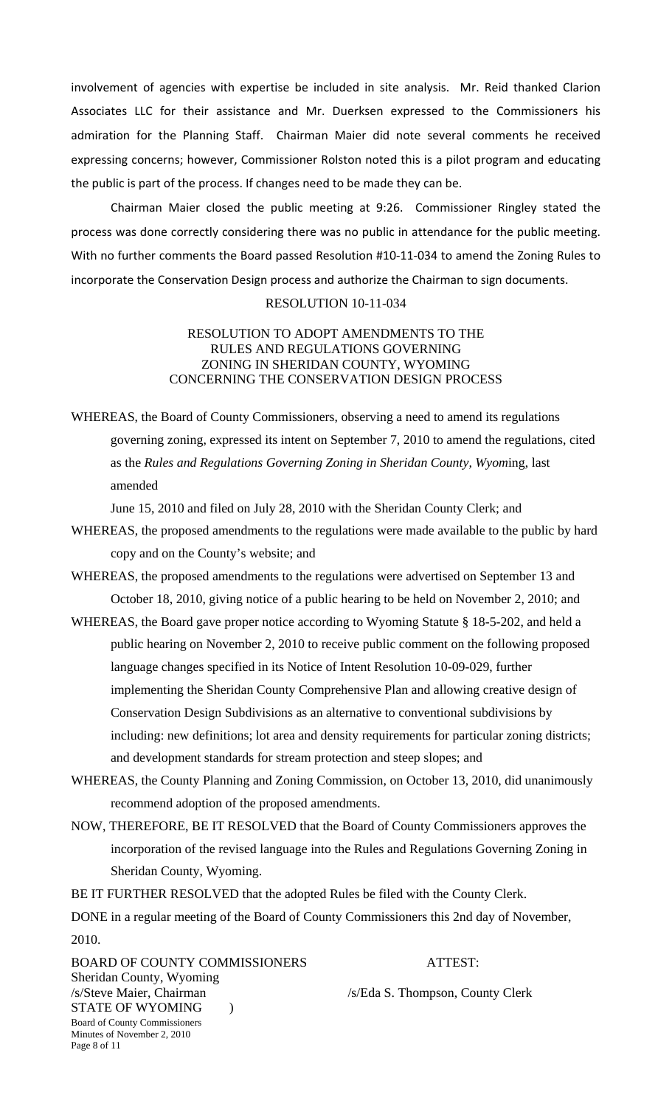involvement of agencies with expertise be included in site analysis. Mr. Reid thanked Clarion Associates LLC for their assistance and Mr. Duerksen expressed to the Commissioners his admiration for the Planning Staff. Chairman Maier did note several comments he received expressing concerns; however, Commissioner Rolston noted this is a pilot program and educating the public is part of the process. If changes need to be made they can be.

Chairman Maier closed the public meeting at 9:26. Commissioner Ringley stated the process was done correctly considering there was no public in attendance for the public meeting. With no further comments the Board passed Resolution #10-11-034 to amend the Zoning Rules to incorporate the Conservation Design process and authorize the Chairman to sign documents.

# RESOLUTION 10-11-034

## RESOLUTION TO ADOPT AMENDMENTS TO THE RULES AND REGULATIONS GOVERNING ZONING IN SHERIDAN COUNTY, WYOMING CONCERNING THE CONSERVATION DESIGN PROCESS

WHEREAS, the Board of County Commissioners, observing a need to amend its regulations governing zoning, expressed its intent on September 7, 2010 to amend the regulations, cited as the *Rules and Regulations Governing Zoning in Sheridan County, Wyom*ing, last amended

June 15, 2010 and filed on July 28, 2010 with the Sheridan County Clerk; and

- WHEREAS, the proposed amendments to the regulations were made available to the public by hard copy and on the County's website; and
- WHEREAS, the proposed amendments to the regulations were advertised on September 13 and October 18, 2010, giving notice of a public hearing to be held on November 2, 2010; and
- WHEREAS, the Board gave proper notice according to Wyoming Statute § 18-5-202, and held a public hearing on November 2, 2010 to receive public comment on the following proposed language changes specified in its Notice of Intent Resolution 10-09-029, further implementing the Sheridan County Comprehensive Plan and allowing creative design of Conservation Design Subdivisions as an alternative to conventional subdivisions by including: new definitions; lot area and density requirements for particular zoning districts; and development standards for stream protection and steep slopes; and
- WHEREAS, the County Planning and Zoning Commission, on October 13, 2010, did unanimously recommend adoption of the proposed amendments.
- NOW, THEREFORE, BE IT RESOLVED that the Board of County Commissioners approves the incorporation of the revised language into the Rules and Regulations Governing Zoning in Sheridan County, Wyoming.

BE IT FURTHER RESOLVED that the adopted Rules be filed with the County Clerk.

DONE in a regular meeting of the Board of County Commissioners this 2nd day of November, 2010.

Board of County Commissioners Minutes of November 2, 2010 Page 8 of 11 BOARD OF COUNTY COMMISSIONERS ATTEST: Sheridan County, Wyoming /s/Steve Maier, Chairman /s/Eda S. Thompson, County Clerk STATE OF WYOMING )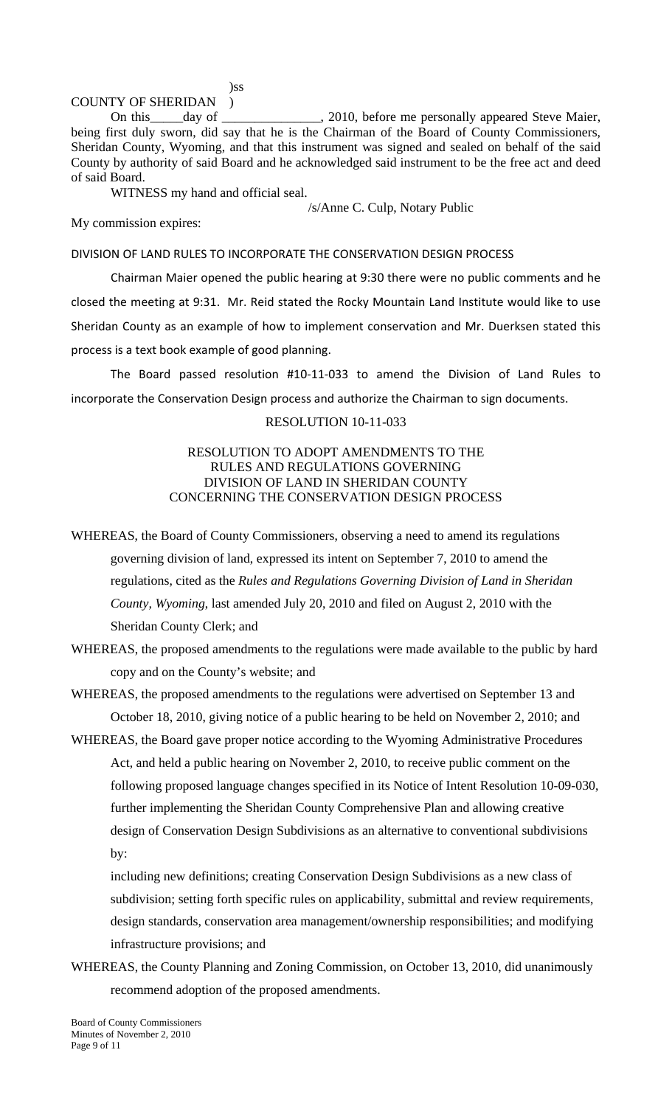)ss

# COUNTY OF SHERIDAN )

On this \_\_\_\_\_day of \_\_\_\_\_\_\_\_\_\_\_\_\_, 2010, before me personally appeared Steve Maier, being first duly sworn, did say that he is the Chairman of the Board of County Commissioners, Sheridan County, Wyoming, and that this instrument was signed and sealed on behalf of the said County by authority of said Board and he acknowledged said instrument to be the free act and deed of said Board.

WITNESS my hand and official seal.

/s/Anne C. Culp, Notary Public

My commission expires:

### DIVISION OF LAND RULES TO INCORPORATE THE CONSERVATION DESIGN PROCESS

Chairman Maier opened the public hearing at 9:30 there were no public comments and he closed the meeting at 9:31. Mr. Reid stated the Rocky Mountain Land Institute would like to use Sheridan County as an example of how to implement conservation and Mr. Duerksen stated this process is a text book example of good planning.

 The Board passed resolution #10‐11‐033 to amend the Division of Land Rules to incorporate the Conservation Design process and authorize the Chairman to sign documents.

## RESOLUTION 10-11-033

## RESOLUTION TO ADOPT AMENDMENTS TO THE RULES AND REGULATIONS GOVERNING DIVISION OF LAND IN SHERIDAN COUNTY CONCERNING THE CONSERVATION DESIGN PROCESS

WHEREAS, the Board of County Commissioners, observing a need to amend its regulations governing division of land, expressed its intent on September 7, 2010 to amend the regulations, cited as the *Rules and Regulations Governing Division of Land in Sheridan County, Wyoming*, last amended July 20, 2010 and filed on August 2, 2010 with the Sheridan County Clerk; and

WHEREAS, the proposed amendments to the regulations were made available to the public by hard copy and on the County's website; and

WHEREAS, the proposed amendments to the regulations were advertised on September 13 and October 18, 2010, giving notice of a public hearing to be held on November 2, 2010; and

WHEREAS, the Board gave proper notice according to the Wyoming Administrative Procedures Act, and held a public hearing on November 2, 2010, to receive public comment on the following proposed language changes specified in its Notice of Intent Resolution 10-09-030, further implementing the Sheridan County Comprehensive Plan and allowing creative design of Conservation Design Subdivisions as an alternative to conventional subdivisions by:

including new definitions; creating Conservation Design Subdivisions as a new class of subdivision; setting forth specific rules on applicability, submittal and review requirements, design standards, conservation area management/ownership responsibilities; and modifying infrastructure provisions; and

WHEREAS, the County Planning and Zoning Commission, on October 13, 2010, did unanimously recommend adoption of the proposed amendments.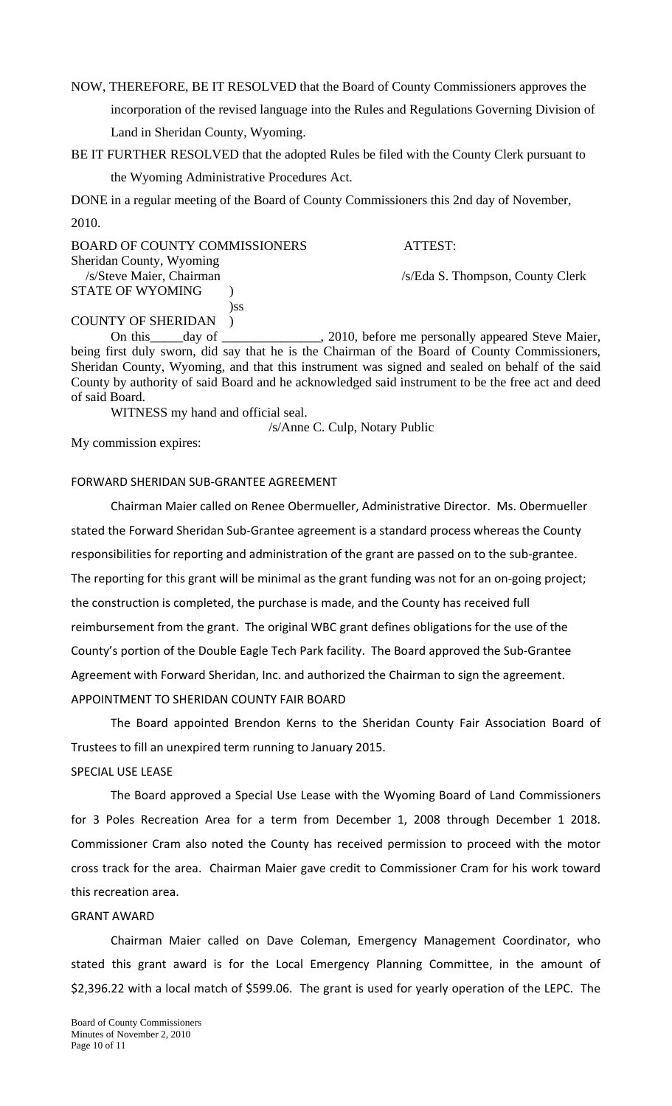NOW, THEREFORE, BE IT RESOLVED that the Board of County Commissioners approves the incorporation of the revised language into the Rules and Regulations Governing Division of Land in Sheridan County, Wyoming.

BE IT FURTHER RESOLVED that the adopted Rules be filed with the County Clerk pursuant to the Wyoming Administrative Procedures Act.

DONE in a regular meeting of the Board of County Commissioners this 2nd day of November, 2010.

| <b>BOARD OF COUNTY COMMISSIONERS</b> | ATTEST:                                        |
|--------------------------------------|------------------------------------------------|
| Sheridan County, Wyoming             |                                                |
| /s/Steve Maier, Chairman             | /s/Eda S. Thompson, County Clerk               |
| <b>STATE OF WYOMING</b>              |                                                |
| )SS                                  |                                                |
| <b>COUNTY OF SHERIDAN</b>            |                                                |
| $\Omega_{\alpha}$ this development   | 2010 before me newcastly ennounced Chain Moise |

On this \_\_\_\_\_day of \_\_\_\_\_\_\_\_\_\_\_\_\_\_, 2010, before me personally appeared Steve Maier, being first duly sworn, did say that he is the Chairman of the Board of County Commissioners, Sheridan County, Wyoming, and that this instrument was signed and sealed on behalf of the said County by authority of said Board and he acknowledged said instrument to be the free act and deed of said Board.

WITNESS my hand and official seal.

/s/Anne C. Culp, Notary Public

My commission expires:

### FORWARD SHERIDAN SUB‐GRANTEE AGREEMENT

Chairman Maier called on Renee Obermueller, Administrative Director. Ms. Obermueller stated the Forward Sheridan Sub‐Grantee agreement is a standard process whereas the County responsibilities for reporting and administration of the grant are passed on to the sub‐grantee. The reporting for this grant will be minimal as the grant funding was not for an on‐going project; the construction is completed, the purchase is made, and the County has received full reimbursement from the grant. The original WBC grant defines obligations for the use of the County's portion of the Double Eagle Tech Park facility. The Board approved the Sub‐Grantee Agreement with Forward Sheridan, Inc. and authorized the Chairman to sign the agreement. APPOINTMENT TO SHERIDAN COUNTY FAIR BOARD

The Board appointed Brendon Kerns to the Sheridan County Fair Association Board of Trustees to fill an unexpired term running to January 2015.

## SPECIAL USE LEASE

The Board approved a Special Use Lease with the Wyoming Board of Land Commissioners for 3 Poles Recreation Area for a term from December 1, 2008 through December 1 2018. Commissioner Cram also noted the County has received permission to proceed with the motor cross track for the area. Chairman Maier gave credit to Commissioner Cram for his work toward this recreation area.

## GRANT AWARD

Chairman Maier called on Dave Coleman, Emergency Management Coordinator, who stated this grant award is for the Local Emergency Planning Committee, in the amount of \$2,396.22 with a local match of \$599.06. The grant is used for yearly operation of the LEPC. The